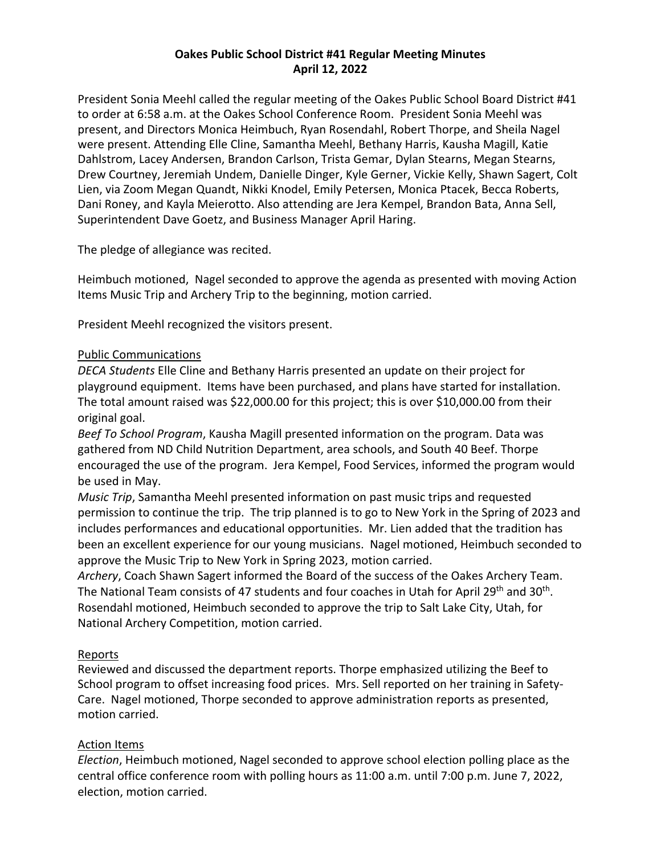# **Oakes Public School District #41 Regular Meeting Minutes April 12, 2022**

President Sonia Meehl called the regular meeting of the Oakes Public School Board District #41 to order at 6:58 a.m. at the Oakes School Conference Room. President Sonia Meehl was present, and Directors Monica Heimbuch, Ryan Rosendahl, Robert Thorpe, and Sheila Nagel were present. Attending Elle Cline, Samantha Meehl, Bethany Harris, Kausha Magill, Katie Dahlstrom, Lacey Andersen, Brandon Carlson, Trista Gemar, Dylan Stearns, Megan Stearns, Drew Courtney, Jeremiah Undem, Danielle Dinger, Kyle Gerner, Vickie Kelly, Shawn Sagert, Colt Lien, via Zoom Megan Quandt, Nikki Knodel, Emily Petersen, Monica Ptacek, Becca Roberts, Dani Roney, and Kayla Meierotto. Also attending are Jera Kempel, Brandon Bata, Anna Sell, Superintendent Dave Goetz, and Business Manager April Haring.

The pledge of allegiance was recited.

Heimbuch motioned, Nagel seconded to approve the agenda as presented with moving Action Items Music Trip and Archery Trip to the beginning, motion carried.

President Meehl recognized the visitors present.

### Public Communications

*DECA Students* Elle Cline and Bethany Harris presented an update on their project for playground equipment. Items have been purchased, and plans have started for installation. The total amount raised was \$22,000.00 for this project; this is over \$10,000.00 from their original goal.

*Beef To School Program*, Kausha Magill presented information on the program. Data was gathered from ND Child Nutrition Department, area schools, and South 40 Beef. Thorpe encouraged the use of the program. Jera Kempel, Food Services, informed the program would be used in May.

*Music Trip*, Samantha Meehl presented information on past music trips and requested permission to continue the trip. The trip planned is to go to New York in the Spring of 2023 and includes performances and educational opportunities. Mr. Lien added that the tradition has been an excellent experience for our young musicians. Nagel motioned, Heimbuch seconded to approve the Music Trip to New York in Spring 2023, motion carried.

*Archery*, Coach Shawn Sagert informed the Board of the success of the Oakes Archery Team. The National Team consists of 47 students and four coaches in Utah for April 29<sup>th</sup> and 30<sup>th</sup>. Rosendahl motioned, Heimbuch seconded to approve the trip to Salt Lake City, Utah, for National Archery Competition, motion carried.

### Reports

Reviewed and discussed the department reports. Thorpe emphasized utilizing the Beef to School program to offset increasing food prices. Mrs. Sell reported on her training in Safety-Care. Nagel motioned, Thorpe seconded to approve administration reports as presented, motion carried.

# Action Items

*Election*, Heimbuch motioned, Nagel seconded to approve school election polling place as the central office conference room with polling hours as 11:00 a.m. until 7:00 p.m. June 7, 2022, election, motion carried.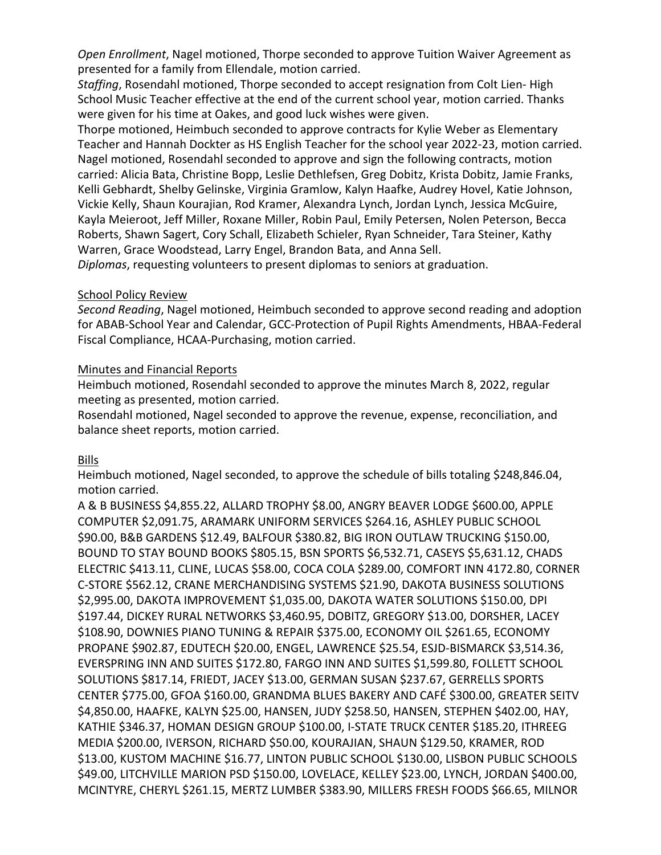*Open Enrollment*, Nagel motioned, Thorpe seconded to approve Tuition Waiver Agreement as presented for a family from Ellendale, motion carried.

*Staffing*, Rosendahl motioned, Thorpe seconded to accept resignation from Colt Lien- High School Music Teacher effective at the end of the current school year, motion carried. Thanks were given for his time at Oakes, and good luck wishes were given.

Thorpe motioned, Heimbuch seconded to approve contracts for Kylie Weber as Elementary Teacher and Hannah Dockter as HS English Teacher for the school year 2022-23, motion carried. Nagel motioned, Rosendahl seconded to approve and sign the following contracts, motion carried: Alicia Bata, Christine Bopp, Leslie Dethlefsen, Greg Dobitz, Krista Dobitz, Jamie Franks, Kelli Gebhardt, Shelby Gelinske, Virginia Gramlow, Kalyn Haafke, Audrey Hovel, Katie Johnson, Vickie Kelly, Shaun Kourajian, Rod Kramer, Alexandra Lynch, Jordan Lynch, Jessica McGuire, Kayla Meieroot, Jeff Miller, Roxane Miller, Robin Paul, Emily Petersen, Nolen Peterson, Becca Roberts, Shawn Sagert, Cory Schall, Elizabeth Schieler, Ryan Schneider, Tara Steiner, Kathy Warren, Grace Woodstead, Larry Engel, Brandon Bata, and Anna Sell.

*Diplomas*, requesting volunteers to present diplomas to seniors at graduation.

### School Policy Review

*Second Reading*, Nagel motioned, Heimbuch seconded to approve second reading and adoption for ABAB-School Year and Calendar, GCC-Protection of Pupil Rights Amendments, HBAA-Federal Fiscal Compliance, HCAA-Purchasing, motion carried.

### Minutes and Financial Reports

Heimbuch motioned, Rosendahl seconded to approve the minutes March 8, 2022, regular meeting as presented, motion carried.

Rosendahl motioned, Nagel seconded to approve the revenue, expense, reconciliation, and balance sheet reports, motion carried.

# Bills

Heimbuch motioned, Nagel seconded, to approve the schedule of bills totaling \$248,846.04, motion carried.

A & B BUSINESS \$4,855.22, ALLARD TROPHY \$8.00, ANGRY BEAVER LODGE \$600.00, APPLE COMPUTER \$2,091.75, ARAMARK UNIFORM SERVICES \$264.16, ASHLEY PUBLIC SCHOOL \$90.00, B&B GARDENS \$12.49, BALFOUR \$380.82, BIG IRON OUTLAW TRUCKING \$150.00, BOUND TO STAY BOUND BOOKS \$805.15, BSN SPORTS \$6,532.71, CASEYS \$5,631.12, CHADS ELECTRIC \$413.11, CLINE, LUCAS \$58.00, COCA COLA \$289.00, COMFORT INN 4172.80, CORNER C-STORE \$562.12, CRANE MERCHANDISING SYSTEMS \$21.90, DAKOTA BUSINESS SOLUTIONS \$2,995.00, DAKOTA IMPROVEMENT \$1,035.00, DAKOTA WATER SOLUTIONS \$150.00, DPI \$197.44, DICKEY RURAL NETWORKS \$3,460.95, DOBITZ, GREGORY \$13.00, DORSHER, LACEY \$108.90, DOWNIES PIANO TUNING & REPAIR \$375.00, ECONOMY OIL \$261.65, ECONOMY PROPANE \$902.87, EDUTECH \$20.00, ENGEL, LAWRENCE \$25.54, ESJD-BISMARCK \$3,514.36, EVERSPRING INN AND SUITES \$172.80, FARGO INN AND SUITES \$1,599.80, FOLLETT SCHOOL SOLUTIONS \$817.14, FRIEDT, JACEY \$13.00, GERMAN SUSAN \$237.67, GERRELLS SPORTS CENTER \$775.00, GFOA \$160.00, GRANDMA BLUES BAKERY AND CAFÉ \$300.00, GREATER SEITV \$4,850.00, HAAFKE, KALYN \$25.00, HANSEN, JUDY \$258.50, HANSEN, STEPHEN \$402.00, HAY, KATHIE \$346.37, HOMAN DESIGN GROUP \$100.00, I-STATE TRUCK CENTER \$185.20, ITHREEG MEDIA \$200.00, IVERSON, RICHARD \$50.00, KOURAJIAN, SHAUN \$129.50, KRAMER, ROD \$13.00, KUSTOM MACHINE \$16.77, LINTON PUBLIC SCHOOL \$130.00, LISBON PUBLIC SCHOOLS \$49.00, LITCHVILLE MARION PSD \$150.00, LOVELACE, KELLEY \$23.00, LYNCH, JORDAN \$400.00, MCINTYRE, CHERYL \$261.15, MERTZ LUMBER \$383.90, MILLERS FRESH FOODS \$66.65, MILNOR